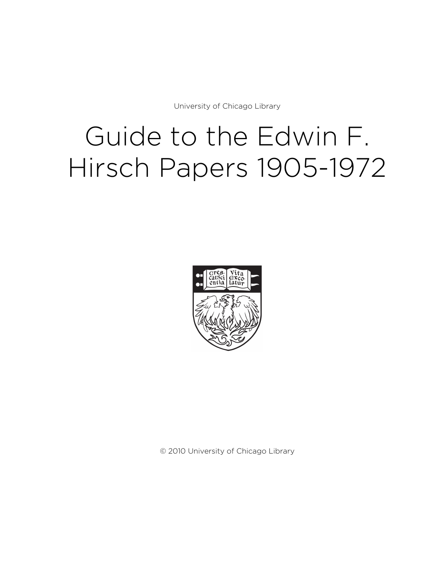University of Chicago Library

# Guide to the Edwin F. Hirsch Papers 1905-1972



© 2010 University of Chicago Library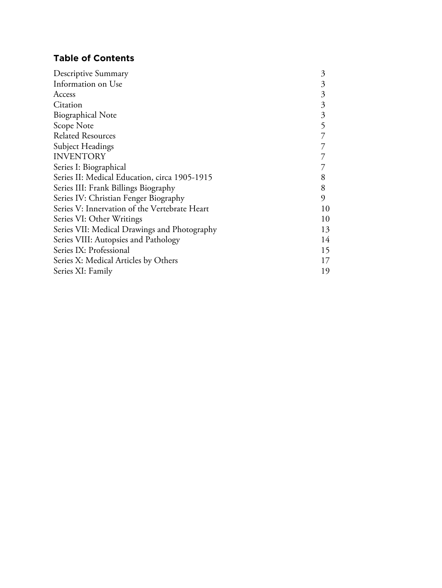# **Table of Contents**

| Descriptive Summary                           | 3  |
|-----------------------------------------------|----|
| Information on Use                            | 3  |
| Access                                        | 3  |
| Citation                                      | 3  |
| <b>Biographical Note</b>                      | 3  |
| Scope Note                                    | 5  |
| <b>Related Resources</b>                      | 7  |
| Subject Headings                              | 7  |
| <b>INVENTORY</b>                              | 7  |
| Series I: Biographical                        | 7  |
| Series II: Medical Education, circa 1905-1915 | 8  |
| Series III: Frank Billings Biography          | 8  |
| Series IV: Christian Fenger Biography         | 9  |
| Series V: Innervation of the Vertebrate Heart | 10 |
| Series VI: Other Writings                     | 10 |
| Series VII: Medical Drawings and Photography  | 13 |
| Series VIII: Autopsies and Pathology          | 14 |
| Series IX: Professional                       | 15 |
| Series X: Medical Articles by Others          | 17 |
| Series XI: Family                             | 19 |
|                                               |    |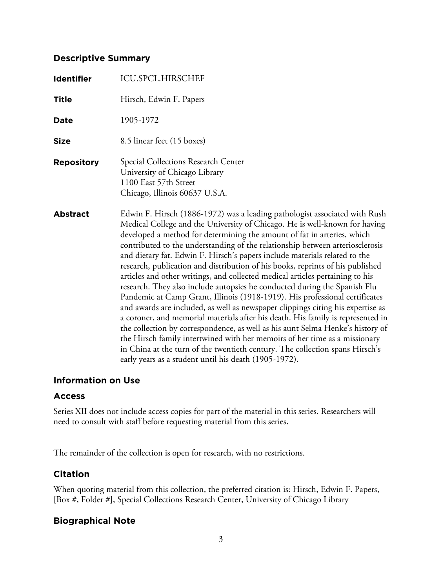# **Descriptive Summary**

| <b>Identifier</b> | <b>ICU.SPCL.HIRSCHEF</b>                                                                                                                                                                                                                                                                                                                                                                                                                                                                                                                                                                                                                                                                                                                                                                                                                                                                                                                                                                                                                                                                                                                                                                                         |
|-------------------|------------------------------------------------------------------------------------------------------------------------------------------------------------------------------------------------------------------------------------------------------------------------------------------------------------------------------------------------------------------------------------------------------------------------------------------------------------------------------------------------------------------------------------------------------------------------------------------------------------------------------------------------------------------------------------------------------------------------------------------------------------------------------------------------------------------------------------------------------------------------------------------------------------------------------------------------------------------------------------------------------------------------------------------------------------------------------------------------------------------------------------------------------------------------------------------------------------------|
| <b>Title</b>      | Hirsch, Edwin F. Papers                                                                                                                                                                                                                                                                                                                                                                                                                                                                                                                                                                                                                                                                                                                                                                                                                                                                                                                                                                                                                                                                                                                                                                                          |
| <b>Date</b>       | 1905-1972                                                                                                                                                                                                                                                                                                                                                                                                                                                                                                                                                                                                                                                                                                                                                                                                                                                                                                                                                                                                                                                                                                                                                                                                        |
| <b>Size</b>       | 8.5 linear feet (15 boxes)                                                                                                                                                                                                                                                                                                                                                                                                                                                                                                                                                                                                                                                                                                                                                                                                                                                                                                                                                                                                                                                                                                                                                                                       |
| <b>Repository</b> | Special Collections Research Center<br>University of Chicago Library<br>1100 East 57th Street<br>Chicago, Illinois 60637 U.S.A.                                                                                                                                                                                                                                                                                                                                                                                                                                                                                                                                                                                                                                                                                                                                                                                                                                                                                                                                                                                                                                                                                  |
| <b>Abstract</b>   | Edwin F. Hirsch (1886-1972) was a leading pathologist associated with Rush<br>Medical College and the University of Chicago. He is well-known for having<br>developed a method for determining the amount of fat in arteries, which<br>contributed to the understanding of the relationship between arteriosclerosis<br>and dietary fat. Edwin F. Hirsch's papers include materials related to the<br>research, publication and distribution of his books, reprints of his published<br>articles and other writings, and collected medical articles pertaining to his<br>research. They also include autopsies he conducted during the Spanish Flu<br>Pandemic at Camp Grant, Illinois (1918-1919). His professional certificates<br>and awards are included, as well as newspaper clippings citing his expertise as<br>a coroner, and memorial materials after his death. His family is represented in<br>the collection by correspondence, as well as his aunt Selma Henke's history of<br>the Hirsch family intertwined with her memoirs of her time as a missionary<br>in China at the turn of the twentieth century. The collection spans Hirsch's<br>early years as a student until his death (1905-1972). |

# **Information on Use**

# **Access**

Series XII does not include access copies for part of the material in this series. Researchers will need to consult with staff before requesting material from this series.

The remainder of the collection is open for research, with no restrictions.

# **Citation**

When quoting material from this collection, the preferred citation is: Hirsch, Edwin F. Papers, [Box #, Folder #], Special Collections Research Center, University of Chicago Library

# **Biographical Note**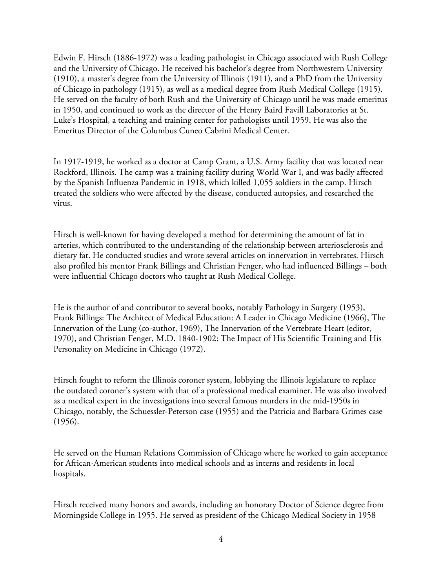Edwin F. Hirsch (1886-1972) was a leading pathologist in Chicago associated with Rush College and the University of Chicago. He received his bachelor's degree from Northwestern University (1910), a master's degree from the University of Illinois (1911), and a PhD from the University of Chicago in pathology (1915), as well as a medical degree from Rush Medical College (1915). He served on the faculty of both Rush and the University of Chicago until he was made emeritus in 1950, and continued to work as the director of the Henry Baird Favill Laboratories at St. Luke's Hospital, a teaching and training center for pathologists until 1959. He was also the Emeritus Director of the Columbus Cuneo Cabrini Medical Center.

In 1917-1919, he worked as a doctor at Camp Grant, a U.S. Army facility that was located near Rockford, Illinois. The camp was a training facility during World War I, and was badly affected by the Spanish Influenza Pandemic in 1918, which killed 1,055 soldiers in the camp. Hirsch treated the soldiers who were affected by the disease, conducted autopsies, and researched the virus.

Hirsch is well-known for having developed a method for determining the amount of fat in arteries, which contributed to the understanding of the relationship between arteriosclerosis and dietary fat. He conducted studies and wrote several articles on innervation in vertebrates. Hirsch also profiled his mentor Frank Billings and Christian Fenger, who had influenced Billings – both were influential Chicago doctors who taught at Rush Medical College.

He is the author of and contributor to several books, notably Pathology in Surgery (1953), Frank Billings: The Architect of Medical Education: A Leader in Chicago Medicine (1966), The Innervation of the Lung (co-author, 1969), The Innervation of the Vertebrate Heart (editor, 1970), and Christian Fenger, M.D. 1840-1902: The Impact of His Scientific Training and His Personality on Medicine in Chicago (1972).

Hirsch fought to reform the Illinois coroner system, lobbying the Illinois legislature to replace the outdated coroner's system with that of a professional medical examiner. He was also involved as a medical expert in the investigations into several famous murders in the mid-1950s in Chicago, notably, the Schuessler-Peterson case (1955) and the Patricia and Barbara Grimes case (1956).

He served on the Human Relations Commission of Chicago where he worked to gain acceptance for African-American students into medical schools and as interns and residents in local hospitals.

Hirsch received many honors and awards, including an honorary Doctor of Science degree from Morningside College in 1955. He served as president of the Chicago Medical Society in 1958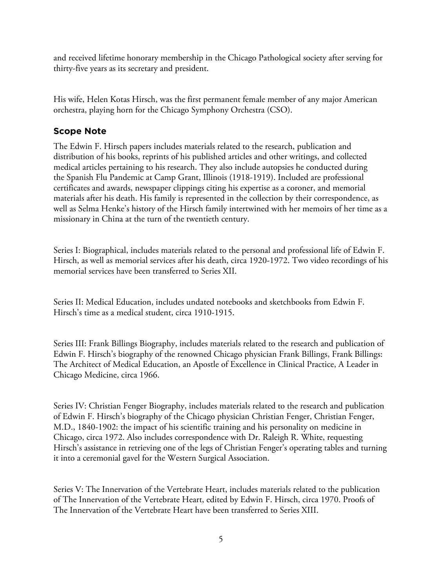and received lifetime honorary membership in the Chicago Pathological society after serving for thirty-five years as its secretary and president.

His wife, Helen Kotas Hirsch, was the first permanent female member of any major American orchestra, playing horn for the Chicago Symphony Orchestra (CSO).

# **Scope Note**

The Edwin F. Hirsch papers includes materials related to the research, publication and distribution of his books, reprints of his published articles and other writings, and collected medical articles pertaining to his research. They also include autopsies he conducted during the Spanish Flu Pandemic at Camp Grant, Illinois (1918-1919). Included are professional certificates and awards, newspaper clippings citing his expertise as a coroner, and memorial materials after his death. His family is represented in the collection by their correspondence, as well as Selma Henke's history of the Hirsch family intertwined with her memoirs of her time as a missionary in China at the turn of the twentieth century.

Series I: Biographical, includes materials related to the personal and professional life of Edwin F. Hirsch, as well as memorial services after his death, circa 1920-1972. Two video recordings of his memorial services have been transferred to Series XII.

Series II: Medical Education, includes undated notebooks and sketchbooks from Edwin F. Hirsch's time as a medical student, circa 1910-1915.

Series III: Frank Billings Biography, includes materials related to the research and publication of Edwin F. Hirsch's biography of the renowned Chicago physician Frank Billings, Frank Billings: The Architect of Medical Education, an Apostle of Excellence in Clinical Practice, A Leader in Chicago Medicine, circa 1966.

Series IV: Christian Fenger Biography, includes materials related to the research and publication of Edwin F. Hirsch's biography of the Chicago physician Christian Fenger, Christian Fenger, M.D., 1840-1902: the impact of his scientific training and his personality on medicine in Chicago, circa 1972. Also includes correspondence with Dr. Raleigh R. White, requesting Hirsch's assistance in retrieving one of the legs of Christian Fenger's operating tables and turning it into a ceremonial gavel for the Western Surgical Association.

Series V: The Innervation of the Vertebrate Heart, includes materials related to the publication of The Innervation of the Vertebrate Heart, edited by Edwin F. Hirsch, circa 1970. Proofs of The Innervation of the Vertebrate Heart have been transferred to Series XIII.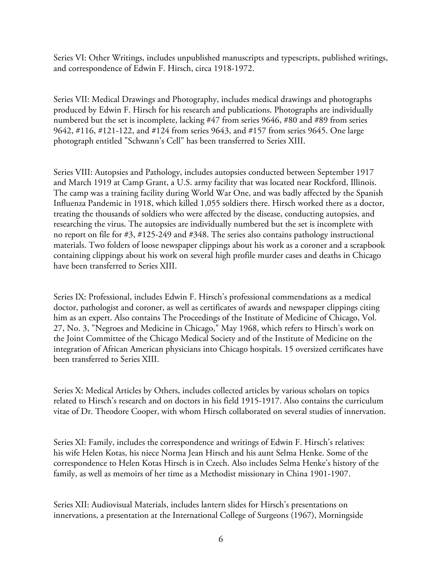Series VI: Other Writings, includes unpublished manuscripts and typescripts, published writings, and correspondence of Edwin F. Hirsch, circa 1918-1972.

Series VII: Medical Drawings and Photography, includes medical drawings and photographs produced by Edwin F. Hirsch for his research and publications. Photographs are individually numbered but the set is incomplete, lacking #47 from series 9646, #80 and #89 from series 9642, #116, #121-122, and #124 from series 9643, and #157 from series 9645. One large photograph entitled "Schwann's Cell" has been transferred to Series XIII.

Series VIII: Autopsies and Pathology, includes autopsies conducted between September 1917 and March 1919 at Camp Grant, a U.S. army facility that was located near Rockford, Illinois. The camp was a training facility during World War One, and was badly affected by the Spanish Influenza Pandemic in 1918, which killed 1,055 soldiers there. Hirsch worked there as a doctor, treating the thousands of soldiers who were affected by the disease, conducting autopsies, and researching the virus. The autopsies are individually numbered but the set is incomplete with no report on file for #3, #125-249 and #348. The series also contains pathology instructional materials. Two folders of loose newspaper clippings about his work as a coroner and a scrapbook containing clippings about his work on several high profile murder cases and deaths in Chicago have been transferred to Series XIII.

Series IX: Professional, includes Edwin F. Hirsch's professional commendations as a medical doctor, pathologist and coroner, as well as certificates of awards and newspaper clippings citing him as an expert. Also contains The Proceedings of the Institute of Medicine of Chicago, Vol. 27, No. 3, "Negroes and Medicine in Chicago," May 1968, which refers to Hirsch's work on the Joint Committee of the Chicago Medical Society and of the Institute of Medicine on the integration of African American physicians into Chicago hospitals. 15 oversized certificates have been transferred to Series XIII.

Series X: Medical Articles by Others, includes collected articles by various scholars on topics related to Hirsch's research and on doctors in his field 1915-1917. Also contains the curriculum vitae of Dr. Theodore Cooper, with whom Hirsch collaborated on several studies of innervation.

Series XI: Family, includes the correspondence and writings of Edwin F. Hirsch's relatives: his wife Helen Kotas, his niece Norma Jean Hirsch and his aunt Selma Henke. Some of the correspondence to Helen Kotas Hirsch is in Czech. Also includes Selma Henke's history of the family, as well as memoirs of her time as a Methodist missionary in China 1901-1907.

Series XII: Audiovisual Materials, includes lantern slides for Hirsch's presentations on innervations, a presentation at the International College of Surgeons (1967), Morningside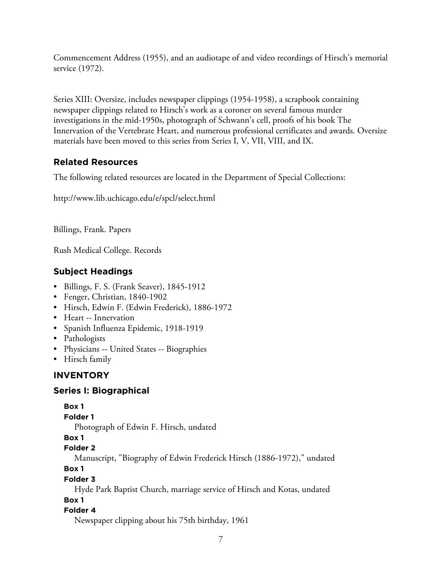Commencement Address (1955), and an audiotape of and video recordings of Hirsch's memorial service (1972).

Series XIII: Oversize, includes newspaper clippings (1954-1958), a scrapbook containing newspaper clippings related to Hirsch's work as a coroner on several famous murder investigations in the mid-1950s, photograph of Schwann's cell, proofs of his book The Innervation of the Vertebrate Heart, and numerous professional certificates and awards. Oversize materials have been moved to this series from Series I, V, VII, VIII, and IX.

# **Related Resources**

The following related resources are located in the Department of Special Collections:

http://www.lib.uchicago.edu/e/spcl/select.html

Billings, Frank. Papers

Rush Medical College. Records

# **Subject Headings**

- Billings, F. S. (Frank Seaver), 1845-1912
- Fenger, Christian, 1840-1902
- Hirsch, Edwin F. (Edwin Frederick), 1886-1972
- Heart -- Innervation
- Spanish Influenza Epidemic, 1918-1919
- Pathologists
- Physicians -- United States -- Biographies
- Hirsch family

# **INVENTORY**

# **Series I: Biographical**

# **Box 1**

# **Folder 1**

Photograph of Edwin F. Hirsch, undated

# **Box 1**

# **Folder 2**

Manuscript, "Biography of Edwin Frederick Hirsch (1886-1972)," undated

# **Box 1**

# **Folder 3**

Hyde Park Baptist Church, marriage service of Hirsch and Kotas, undated

# **Box 1**

# **Folder 4**

Newspaper clipping about his 75th birthday, 1961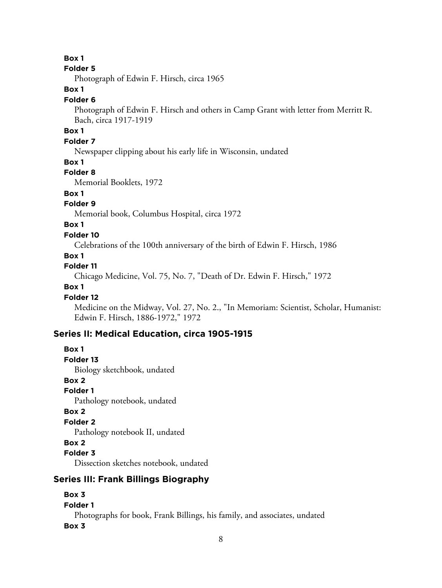#### **Folder 5**

Photograph of Edwin F. Hirsch, circa 1965

# **Box 1**

#### **Folder 6**

Photograph of Edwin F. Hirsch and others in Camp Grant with letter from Merritt R. Bach, circa 1917-1919

# **Box 1**

# **Folder 7**

Newspaper clipping about his early life in Wisconsin, undated

#### **Box 1**

#### **Folder 8**

Memorial Booklets, 1972

## **Box 1**

# **Folder 9**

Memorial book, Columbus Hospital, circa 1972

# **Box 1**

## **Folder 10**

Celebrations of the 100th anniversary of the birth of Edwin F. Hirsch, 1986

#### **Box 1**

## **Folder 11**

Chicago Medicine, Vol. 75, No. 7, "Death of Dr. Edwin F. Hirsch," 1972

# **Box 1**

#### **Folder 12**

Medicine on the Midway, Vol. 27, No. 2., "In Memoriam: Scientist, Scholar, Humanist: Edwin F. Hirsch, 1886-1972," 1972

# **Series II: Medical Education, circa 1905-1915**

# **Box 1**

**Folder 13**

Biology sketchbook, undated

# **Box 2**

**Folder 1**

Pathology notebook, undated

#### **Box 2**

## **Folder 2**

Pathology notebook II, undated

#### **Box 2**

#### **Folder 3**

Dissection sketches notebook, undated

# **Series III: Frank Billings Biography**

# **Box 3**

# **Folder 1**

Photographs for book, Frank Billings, his family, and associates, undated

#### **Box 3**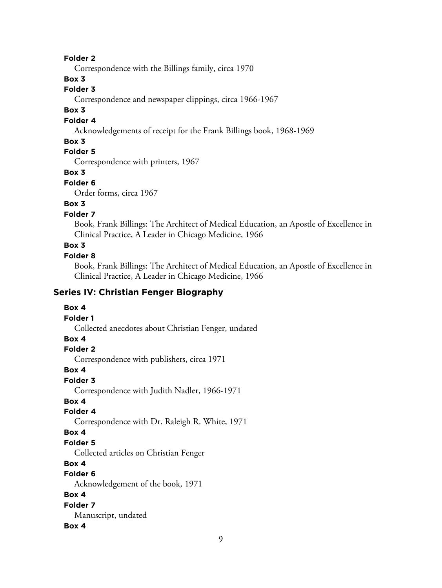Correspondence with the Billings family, circa 1970

# **Box 3**

# **Folder 3**

Correspondence and newspaper clippings, circa 1966-1967

# **Box 3**

#### **Folder 4**

Acknowledgements of receipt for the Frank Billings book, 1968-1969

## **Box 3**

# **Folder 5**

Correspondence with printers, 1967

#### **Box 3**

#### **Folder 6**

Order forms, circa 1967

# **Box 3**

# **Folder 7**

Book, Frank Billings: The Architect of Medical Education, an Apostle of Excellence in Clinical Practice, A Leader in Chicago Medicine, 1966

# **Box 3**

#### **Folder 8**

Book, Frank Billings: The Architect of Medical Education, an Apostle of Excellence in Clinical Practice, A Leader in Chicago Medicine, 1966

# **Series IV: Christian Fenger Biography**

#### **Box 4**

#### **Folder 1**

Collected anecdotes about Christian Fenger, undated

# **Box 4**

## **Folder 2**

Correspondence with publishers, circa 1971

#### **Box 4**

#### **Folder 3**

Correspondence with Judith Nadler, 1966-1971

# **Box 4**

#### **Folder 4**

Correspondence with Dr. Raleigh R. White, 1971

## **Box 4**

#### **Folder 5**

Collected articles on Christian Fenger

# **Box 4**

# **Folder 6**

Acknowledgement of the book, 1971

#### **Box 4**

#### **Folder 7** Manuscript, undated

# **Box 4**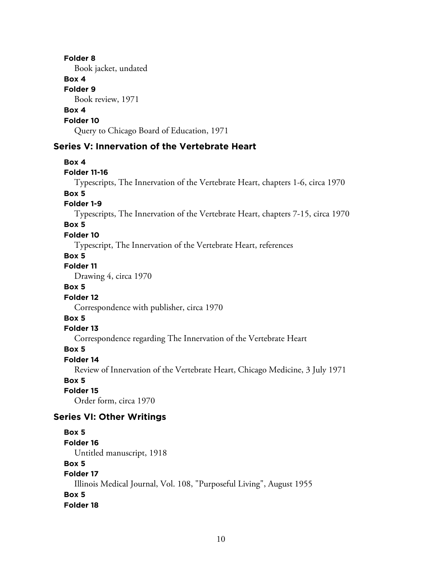Book jacket, undated

# **Box 4**

**Folder 9**

Book review, 1971

# **Box 4**

**Folder 10**

Query to Chicago Board of Education, 1971

# **Series V: Innervation of the Vertebrate Heart**

#### **Box 4**

#### **Folder 11-16**

Typescripts, The Innervation of the Vertebrate Heart, chapters 1-6, circa 1970

# **Box 5**

# **Folder 1-9**

Typescripts, The Innervation of the Vertebrate Heart, chapters 7-15, circa 1970

## **Box 5**

#### **Folder 10**

Typescript, The Innervation of the Vertebrate Heart, references

#### **Box 5**

# **Folder 11**

Drawing 4, circa 1970

# **Box 5**

#### **Folder 12**

Correspondence with publisher, circa 1970

# **Box 5**

#### **Folder 13**

Correspondence regarding The Innervation of the Vertebrate Heart

# **Box 5**

#### **Folder 14**

Review of Innervation of the Vertebrate Heart, Chicago Medicine, 3 July 1971

#### **Box 5**

**Folder 15**

Order form, circa 1970

# **Series VI: Other Writings**

#### **Box 5**

**Folder 16**

Untitled manuscript, 1918

# **Box 5**

# **Folder 17**

Illinois Medical Journal, Vol. 108, "Purposeful Living", August 1955

# **Box 5**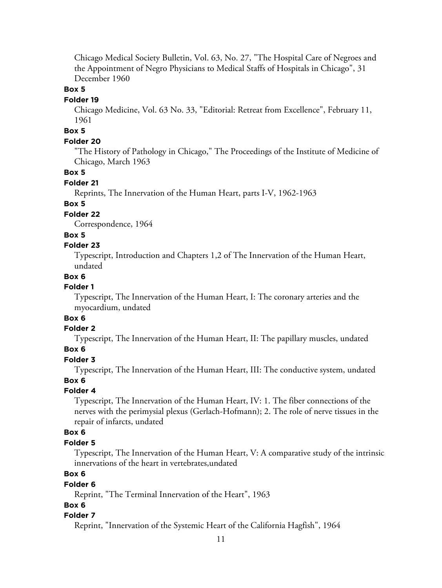Chicago Medical Society Bulletin, Vol. 63, No. 27, "The Hospital Care of Negroes and the Appointment of Negro Physicians to Medical Staffs of Hospitals in Chicago", 31 December 1960

# **Box 5**

#### **Folder 19**

Chicago Medicine, Vol. 63 No. 33, "Editorial: Retreat from Excellence", February 11, 1961

## **Box 5**

#### **Folder 20**

"The History of Pathology in Chicago," The Proceedings of the Institute of Medicine of Chicago, March 1963

#### **Box 5**

#### **Folder 21**

Reprints, The Innervation of the Human Heart, parts I-V, 1962-1963

#### **Box 5**

#### **Folder 22**

Correspondence, 1964

#### **Box 5**

#### **Folder 23**

Typescript, Introduction and Chapters 1,2 of The Innervation of the Human Heart, undated

## **Box 6**

# **Folder 1**

Typescript, The Innervation of the Human Heart, I: The coronary arteries and the myocardium, undated

# **Box 6**

# **Folder 2**

Typescript, The Innervation of the Human Heart, II: The papillary muscles, undated

#### **Box 6**

#### **Folder 3**

Typescript, The Innervation of the Human Heart, III: The conductive system, undated

#### **Box 6**

#### **Folder 4**

Typescript, The Innervation of the Human Heart, IV: 1. The fiber connections of the nerves with the perimysial plexus (Gerlach-Hofmann); 2. The role of nerve tissues in the repair of infarcts, undated

## **Box 6**

#### **Folder 5**

Typescript, The Innervation of the Human Heart, V: A comparative study of the intrinsic innervations of the heart in vertebrates,undated

# **Box 6**

#### **Folder 6**

Reprint, "The Terminal Innervation of the Heart", 1963

#### **Box 6**

#### **Folder 7**

Reprint, "Innervation of the Systemic Heart of the California Hagfish", 1964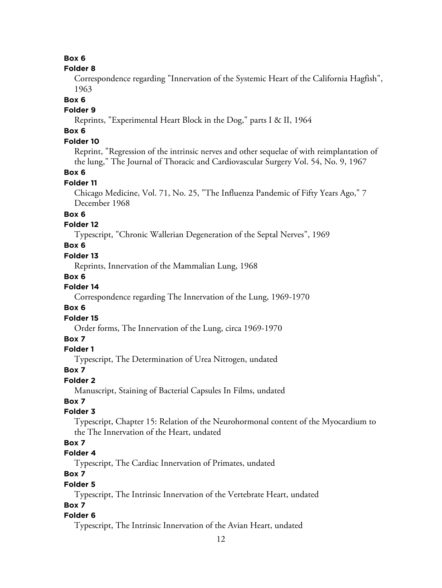#### **Folder 8**

Correspondence regarding "Innervation of the Systemic Heart of the California Hagfish", 1963

#### **Box 6**

## **Folder 9**

Reprints, "Experimental Heart Block in the Dog," parts I & II, 1964

# **Box 6**

# **Folder 10**

Reprint, "Regression of the intrinsic nerves and other sequelae of with reimplantation of the lung," The Journal of Thoracic and Cardiovascular Surgery Vol. 54, No. 9, 1967

# **Box 6**

## **Folder 11**

Chicago Medicine, Vol. 71, No. 25, "The Influenza Pandemic of Fifty Years Ago," 7 December 1968

# **Box 6**

# **Folder 12**

Typescript, "Chronic Wallerian Degeneration of the Septal Nerves", 1969

# **Box 6**

## **Folder 13**

Reprints, Innervation of the Mammalian Lung, 1968

# **Box 6**

# **Folder 14**

Correspondence regarding The Innervation of the Lung, 1969-1970

## **Box 6**

#### **Folder 15**

Order forms, The Innervation of the Lung, circa 1969-1970

# **Box 7**

# **Folder 1**

Typescript, The Determination of Urea Nitrogen, undated

# **Box 7**

# **Folder 2**

Manuscript, Staining of Bacterial Capsules In Films, undated

# **Box 7**

# **Folder 3**

Typescript, Chapter 15: Relation of the Neurohormonal content of the Myocardium to the The Innervation of the Heart, undated

# **Box 7**

# **Folder 4**

Typescript, The Cardiac Innervation of Primates, undated

# **Box 7**

# **Folder 5**

Typescript, The Intrinsic Innervation of the Vertebrate Heart, undated

# **Box 7**

# **Folder 6**

Typescript, The Intrinsic Innervation of the Avian Heart, undated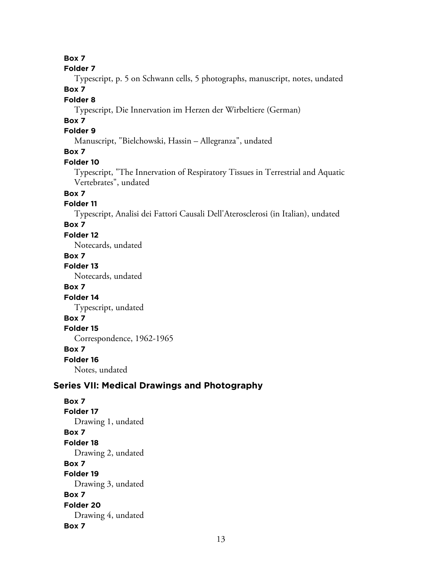**Folder 7**

Typescript, p. 5 on Schwann cells, 5 photographs, manuscript, notes, undated **Box 7**

## **Folder 8**

Typescript, Die Innervation im Herzen der Wirbeltiere (German)

# **Box 7**

# **Folder 9**

Manuscript, "Bielchowski, Hassin – Allegranza", undated

# **Box 7**

#### **Folder 10**

Typescript, "The Innervation of Respiratory Tissues in Terrestrial and Aquatic Vertebrates", undated

# **Box 7**

## **Folder 11**

Typescript, Analisi dei Fattori Causali Dell'Aterosclerosi (in Italian), undated

# **Box 7**

**Folder 12**

Notecards, undated

# **Box 7**

**Folder 13**

Notecards, undated

# **Box 7**

**Folder 14** Typescript, undated

# **Box 7**

**Folder 15**

# Correspondence, 1962-1965

# **Box 7**

**Folder 16**

Notes, undated

# **Series VII: Medical Drawings and Photography**

**Box 7 Folder 17** Drawing 1, undated **Box 7 Folder 18** Drawing 2, undated **Box 7 Folder 19** Drawing 3, undated **Box 7 Folder 20** Drawing 4, undated **Box 7**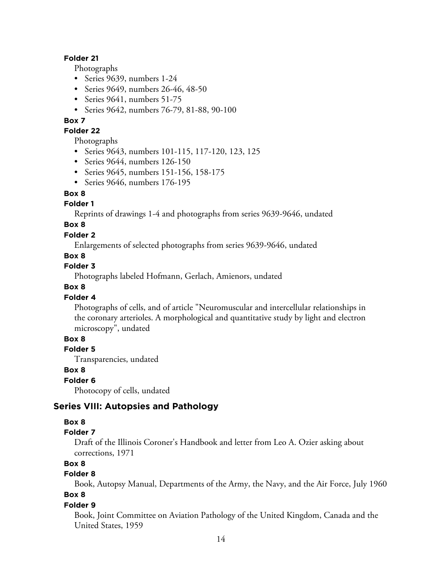Photographs

- Series 9639, numbers 1-24
- Series 9649, numbers 26-46, 48-50
- Series 9641, numbers 51-75
- Series 9642, numbers 76-79, 81-88, 90-100

#### **Box 7**

#### **Folder 22**

Photographs

- Series 9643, numbers 101-115, 117-120, 123, 125
- Series 9644, numbers 126-150
- Series 9645, numbers 151-156, 158-175
- Series 9646, numbers 176-195

#### **Box 8**

#### **Folder 1**

Reprints of drawings 1-4 and photographs from series 9639-9646, undated

# **Box 8**

#### **Folder 2**

Enlargements of selected photographs from series 9639-9646, undated

#### **Box 8**

#### **Folder 3**

Photographs labeled Hofmann, Gerlach, Amienors, undated

# **Box 8**

#### **Folder 4**

Photographs of cells, and of article "Neuromuscular and intercellular relationships in the coronary arterioles. A morphological and quantitative study by light and electron microscopy", undated

# **Box 8**

## **Folder 5**

Transparencies, undated

#### **Box 8**

#### **Folder 6**

Photocopy of cells, undated

# **Series VIII: Autopsies and Pathology**

#### **Box 8**

#### **Folder 7**

Draft of the Illinois Coroner's Handbook and letter from Leo A. Ozier asking about corrections, 1971

# **Box 8**

## **Folder 8**

Book, Autopsy Manual, Departments of the Army, the Navy, and the Air Force, July 1960 **Box 8**

#### **Folder 9**

Book, Joint Committee on Aviation Pathology of the United Kingdom, Canada and the United States, 1959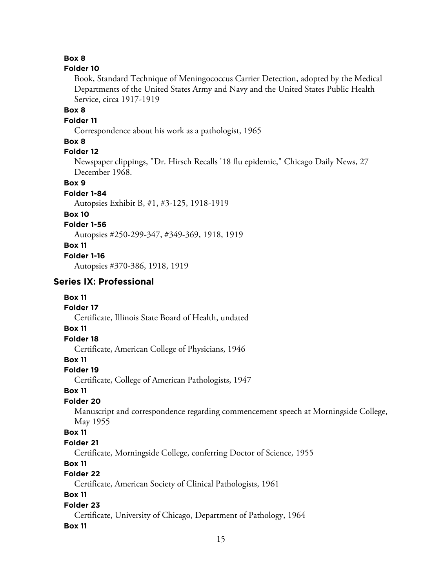#### **Folder 10**

Book, Standard Technique of Meningococcus Carrier Detection, adopted by the Medical Departments of the United States Army and Navy and the United States Public Health Service, circa 1917-1919

# **Box 8**

**Folder 11**

Correspondence about his work as a pathologist, 1965

# **Box 8**

# **Folder 12**

Newspaper clippings, "Dr. Hirsch Recalls '18 flu epidemic," Chicago Daily News, 27 December 1968.

#### **Box 9**

**Folder 1-84**

Autopsies Exhibit B, #1, #3-125, 1918-1919

#### **Box 10**

#### **Folder 1-56**

Autopsies #250-299-347, #349-369, 1918, 1919

- **Box 11**
- **Folder 1-16**

Autopsies #370-386, 1918, 1919

# **Series IX: Professional**

#### **Box 11**

## **Folder 17**

Certificate, Illinois State Board of Health, undated

#### **Box 11**

# **Folder 18**

Certificate, American College of Physicians, 1946

# **Box 11**

#### **Folder 19**

Certificate, College of American Pathologists, 1947

#### **Box 11**

#### **Folder 20**

Manuscript and correspondence regarding commencement speech at Morningside College, May 1955

#### **Box 11**

#### **Folder 21**

Certificate, Morningside College, conferring Doctor of Science, 1955

#### **Box 11**

## **Folder 22**

Certificate, American Society of Clinical Pathologists, 1961

# **Box 11**

#### **Folder 23**

Certificate, University of Chicago, Department of Pathology, 1964

#### **Box 11**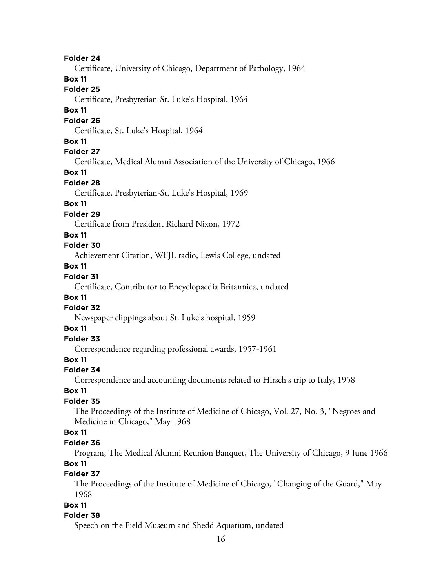Certificate, University of Chicago, Department of Pathology, 1964

#### **Box 11**

#### **Folder 25**

Certificate, Presbyterian-St. Luke's Hospital, 1964

#### **Box 11**

#### **Folder 26**

Certificate, St. Luke's Hospital, 1964

## **Box 11**

# **Folder 27**

Certificate, Medical Alumni Association of the University of Chicago, 1966

# **Box 11**

#### **Folder 28**

Certificate, Presbyterian-St. Luke's Hospital, 1969

# **Box 11**

# **Folder 29**

Certificate from President Richard Nixon, 1972

# **Box 11**

# **Folder 30**

Achievement Citation, WFJL radio, Lewis College, undated

# **Box 11**

# **Folder 31**

Certificate, Contributor to Encyclopaedia Britannica, undated

# **Box 11**

# **Folder 32**

Newspaper clippings about St. Luke's hospital, 1959

## **Box 11**

# **Folder 33**

Correspondence regarding professional awards, 1957-1961

#### **Box 11**

#### **Folder 34**

Correspondence and accounting documents related to Hirsch's trip to Italy, 1958

#### **Box 11**

#### **Folder 35**

The Proceedings of the Institute of Medicine of Chicago, Vol. 27, No. 3, "Negroes and Medicine in Chicago," May 1968

## **Box 11**

#### **Folder 36**

Program, The Medical Alumni Reunion Banquet, The University of Chicago, 9 June 1966 **Box 11**

#### **Folder 37**

The Proceedings of the Institute of Medicine of Chicago, "Changing of the Guard," May 1968

#### **Box 11**

#### **Folder 38**

Speech on the Field Museum and Shedd Aquarium, undated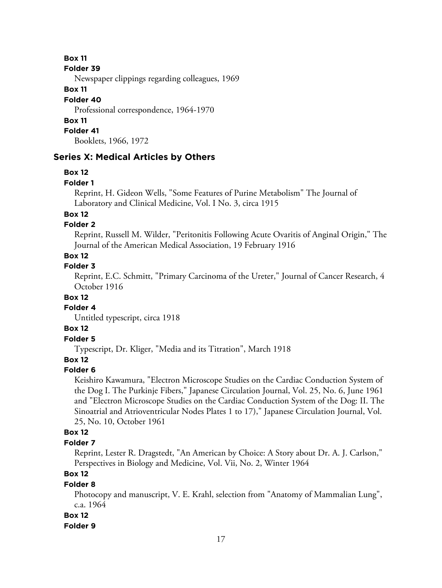#### **Folder 39**

Newspaper clippings regarding colleagues, 1969

# **Box 11**

# **Folder 40**

Professional correspondence, 1964-1970

# **Box 11**

**Folder 41**

Booklets, 1966, 1972

# **Series X: Medical Articles by Others**

# **Box 12**

#### **Folder 1**

Reprint, H. Gideon Wells, "Some Features of Purine Metabolism" The Journal of Laboratory and Clinical Medicine, Vol. I No. 3, circa 1915

# **Box 12**

# **Folder 2**

Reprint, Russell M. Wilder, "Peritonitis Following Acute Ovaritis of Anginal Origin," The Journal of the American Medical Association, 19 February 1916

# **Box 12**

# **Folder 3**

Reprint, E.C. Schmitt, "Primary Carcinoma of the Ureter," Journal of Cancer Research, 4 October 1916

# **Box 12**

## **Folder 4**

Untitled typescript, circa 1918

# **Box 12**

# **Folder 5**

Typescript, Dr. Kliger, "Media and its Titration", March 1918

# **Box 12**

# **Folder 6**

Keishiro Kawamura, "Electron Microscope Studies on the Cardiac Conduction System of the Dog I. The Purkinje Fibers," Japanese Circulation Journal, Vol. 25, No. 6, June 1961 and "Electron Microscope Studies on the Cardiac Conduction System of the Dog: II. The Sinoatrial and Atrioventricular Nodes Plates 1 to 17)," Japanese Circulation Journal, Vol. 25, No. 10, October 1961

# **Box 12**

# **Folder 7**

Reprint, Lester R. Dragstedt, "An American by Choice: A Story about Dr. A. J. Carlson," Perspectives in Biology and Medicine, Vol. Vii, No. 2, Winter 1964

# **Box 12**

# **Folder 8**

Photocopy and manuscript, V. E. Krahl, selection from "Anatomy of Mammalian Lung", c.a. 1964

# **Box 12**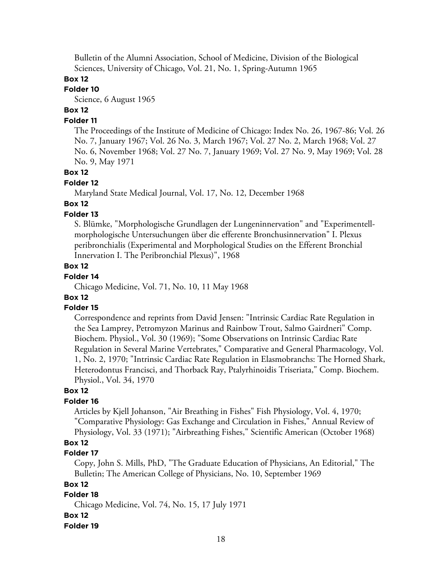Bulletin of the Alumni Association, School of Medicine, Division of the Biological Sciences, University of Chicago, Vol. 21, No. 1, Spring-Autumn 1965

# **Box 12**

# **Folder 10**

Science, 6 August 1965

# **Box 12**

#### **Folder 11**

The Proceedings of the Institute of Medicine of Chicago: Index No. 26, 1967-86; Vol. 26 No. 7, January 1967; Vol. 26 No. 3, March 1967; Vol. 27 No. 2, March 1968; Vol. 27 No. 6, November 1968; Vol. 27 No. 7, January 1969; Vol. 27 No. 9, May 1969; Vol. 28 No. 9, May 1971

#### **Box 12**

#### **Folder 12**

Maryland State Medical Journal, Vol. 17, No. 12, December 1968

## **Box 12**

#### **Folder 13**

S. Blümke, "Morphologische Grundlagen der Lungeninnervation" and "Experimentellmorphologische Untersuchungen über die efferente Bronchusinnervation" I. Plexus peribronchialis (Experimental and Morphological Studies on the Efferent Bronchial Innervation I. The Peribronchial Plexus)", 1968

#### **Box 12**

#### **Folder 14**

Chicago Medicine, Vol. 71, No. 10, 11 May 1968

# **Box 12**

#### **Folder 15**

Correspondence and reprints from David Jensen: "Intrinsic Cardiac Rate Regulation in the Sea Lamprey, Petromyzon Marinus and Rainbow Trout, Salmo Gairdneri" Comp. Biochem. Physiol., Vol. 30 (1969); "Some Observations on Intrinsic Cardiac Rate Regulation in Several Marine Vertebrates," Comparative and General Pharmacology, Vol. 1, No. 2, 1970; "Intrinsic Cardiac Rate Regulation in Elasmobranchs: The Horned Shark, Heterodontus Francisci, and Thorback Ray, Ptalyrhinoidis Triseriata," Comp. Biochem. Physiol., Vol. 34, 1970

#### **Box 12**

#### **Folder 16**

Articles by Kjell Johanson, "Air Breathing in Fishes" Fish Physiology, Vol. 4, 1970; "Comparative Physiology: Gas Exchange and Circulation in Fishes," Annual Review of Physiology, Vol. 33 (1971); "Airbreathing Fishes," Scientific American (October 1968)

# **Box 12**

#### **Folder 17**

Copy, John S. Mills, PhD, "The Graduate Education of Physicians, An Editorial," The Bulletin; The American College of Physicians, No. 10, September 1969

#### **Box 12**

# **Folder 18**

Chicago Medicine, Vol. 74, No. 15, 17 July 1971

#### **Box 12**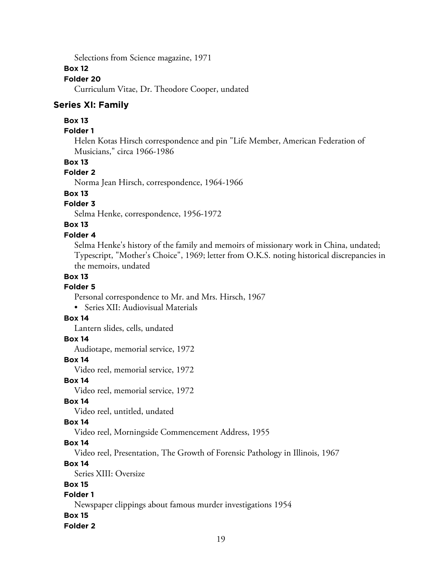Selections from Science magazine, 1971

#### **Box 12**

# **Folder 20**

Curriculum Vitae, Dr. Theodore Cooper, undated

#### **Series XI: Family**

## **Box 13**

# **Folder 1**

Helen Kotas Hirsch correspondence and pin "Life Member, American Federation of Musicians," circa 1966-1986

#### **Box 13**

## **Folder 2**

Norma Jean Hirsch, correspondence, 1964-1966

# **Box 13**

# **Folder 3**

Selma Henke, correspondence, 1956-1972

# **Box 13**

#### **Folder 4**

Selma Henke's history of the family and memoirs of missionary work in China, undated; Typescript, "Mother's Choice", 1969; letter from O.K.S. noting historical discrepancies in the memoirs, undated

## **Box 13**

## **Folder 5**

Personal correspondence to Mr. and Mrs. Hirsch, 1967

• Series XII: Audiovisual Materials

## **Box 14**

Lantern slides, cells, undated

#### **Box 14**

Audiotape, memorial service, 1972

#### **Box 14**

Video reel, memorial service, 1972

#### **Box 14**

Video reel, memorial service, 1972

# **Box 14**

Video reel, untitled, undated

#### **Box 14**

Video reel, Morningside Commencement Address, 1955

#### **Box 14**

Video reel, Presentation, The Growth of Forensic Pathology in Illinois, 1967

#### **Box 14**

Series XIII: Oversize

# **Box 15**

# **Folder 1**

Newspaper clippings about famous murder investigations 1954

# **Box 15**